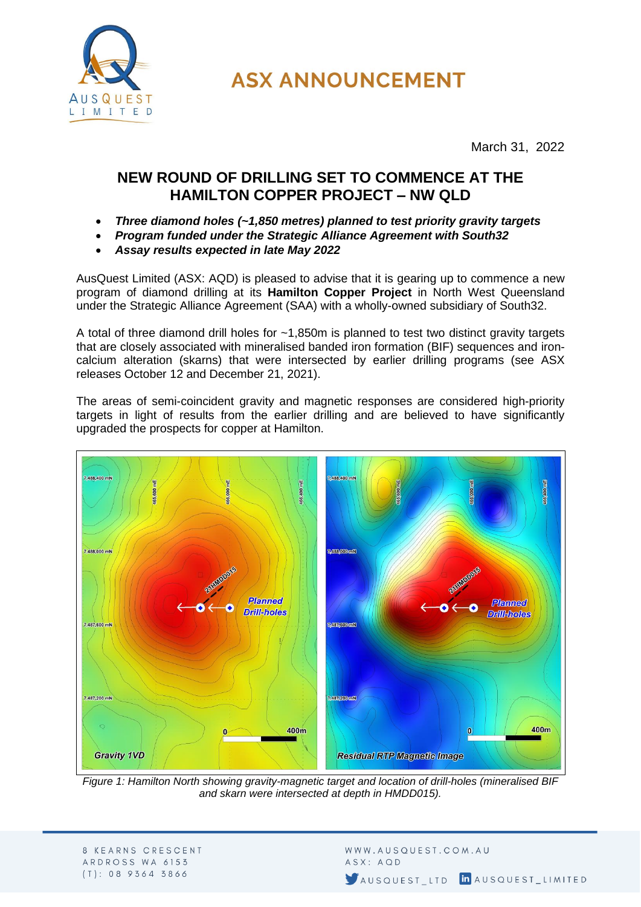

**ASX ANNOUNCEMENT** 

March 31, 2022

## **NEW ROUND OF DRILLING SET TO COMMENCE AT THE HAMILTON COPPER PROJECT – NW QLD**

- *Three diamond holes (~1,850 metres) planned to test priority gravity targets*
- *Program funded under the Strategic Alliance Agreement with South32*
- *Assay results expected in late May 2022*

AusQuest Limited (ASX: AQD) is pleased to advise that it is gearing up to commence a new program of diamond drilling at its **Hamilton Copper Project** in North West Queensland under the Strategic Alliance Agreement (SAA) with a wholly-owned subsidiary of South32.

A total of three diamond drill holes for ~1,850m is planned to test two distinct gravity targets that are closely associated with mineralised banded iron formation (BIF) sequences and ironcalcium alteration (skarns) that were intersected by earlier drilling programs (see ASX releases October 12 and December 21, 2021).

The areas of semi-coincident gravity and magnetic responses are considered high-priority targets in light of results from the earlier drilling and are believed to have significantly upgraded the prospects for copper at Hamilton.



*Figure 1: Hamilton North showing gravity-magnetic target and location of drill-holes (mineralised BIF and skarn were intersected at depth in HMDD015).*

WWW.AUSQUEST.COM.AU ASX: AQD AUSQUEST LTD IN AUSQUEST LIMITED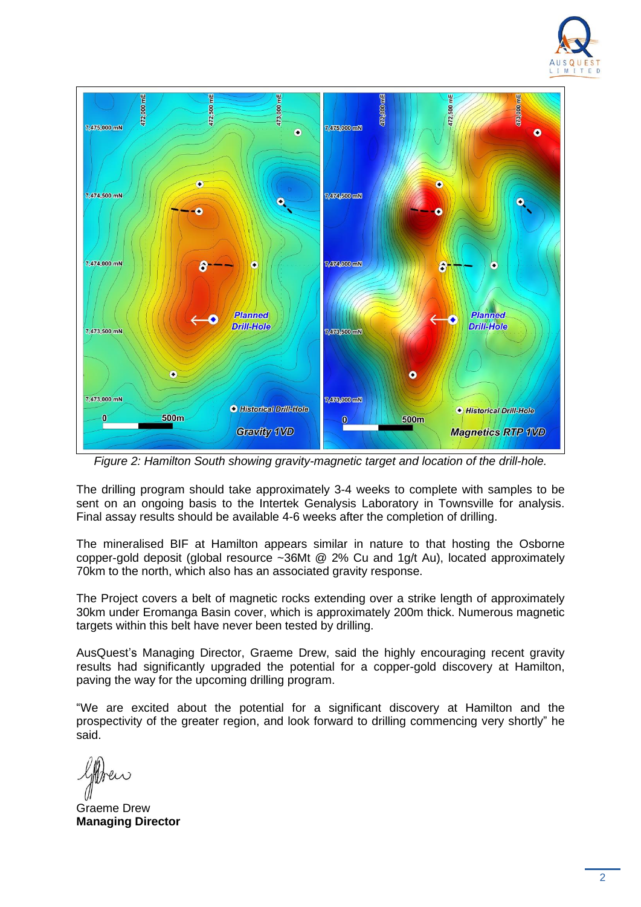



*Figure 2: Hamilton South showing gravity-magnetic target and location of the drill-hole.*

The drilling program should take approximately 3-4 weeks to complete with samples to be sent on an ongoing basis to the Intertek Genalysis Laboratory in Townsville for analysis. Final assay results should be available 4-6 weeks after the completion of drilling.

The mineralised BIF at Hamilton appears similar in nature to that hosting the Osborne copper-gold deposit (global resource ~36Mt @ 2% Cu and 1g/t Au), located approximately 70km to the north, which also has an associated gravity response.

The Project covers a belt of magnetic rocks extending over a strike length of approximately 30km under Eromanga Basin cover, which is approximately 200m thick. Numerous magnetic targets within this belt have never been tested by drilling.

AusQuest's Managing Director, Graeme Drew, said the highly encouraging recent gravity results had significantly upgraded the potential for a copper-gold discovery at Hamilton, paving the way for the upcoming drilling program.

"We are excited about the potential for a significant discovery at Hamilton and the prospectivity of the greater region, and look forward to drilling commencing very shortly" he said.

Graeme Drew **Managing Director**